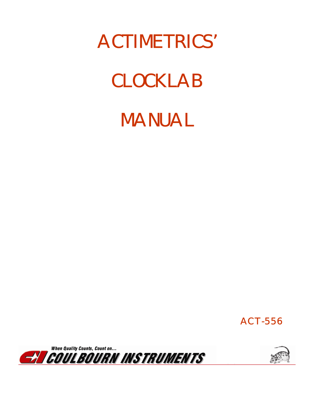# ACTIMETRICS'

# CLOCKLAB



ACT-556



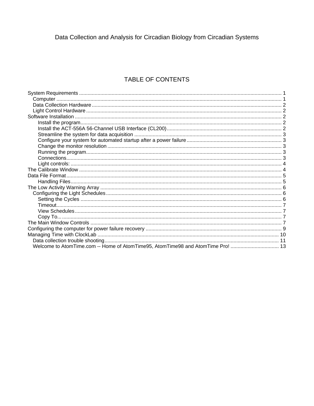Data Collection and Analysis for Circadian Biology from Circadian Systems

## TABLE OF CONTENTS

| Welcome to AtomTime.com -- Home of AtomTime95, AtomTime98 and AtomTime Pro!  13 |  |
|---------------------------------------------------------------------------------|--|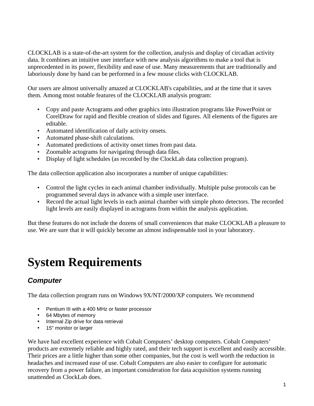CLOCKLAB is a state-of-the-art system for the collection, analysis and display of circadian activity data. It combines an intuitive user interface with new analysis algorithms to make a tool that is unprecedented in its power, flexibility and ease of use. Many measurements that are traditionally and laboriously done by hand can be performed in a few mouse clicks with CLOCKLAB.

Our users are almost universally amazed at CLOCKLAB's capabilities, and at the time that it saves them. Among most notable features of the CLOCKLAB analysis program:

- Copy and paste Actograms and other graphics into illustration programs like PowerPoint or CorelDraw for rapid and flexible creation of slides and figures. All elements of the figures are editable.
- Automated identification of daily activity onsets.
- Automated phase-shift calculations.
- Automated predictions of activity onset times from past data.
- Zoomable actograms for navigating through data files.
- Display of light schedules (as recorded by the ClockLab data collection program).

The data collection application also incorporates a number of unique capabilities:

- Control the light cycles in each animal chamber individually. Multiple pulse protocols can be programmed several days in advance with a simple user interface.
- Record the actual light levels in each animal chamber with simple photo detectors. The recorded light levels are easily displayed in actograms from within the analysis application.

But these features do not include the dozens of small conveniences that make CLOCKLAB a pleasure to use. We are sure that it will quickly become an almost indispensable tool in your laboratory.

## **System Requirements**

## *Computer*

The data collection program runs on Windows 9X/NT/2000/XP computers. We recommend

- Pentium III with a 400 MHz or faster processor
- 64 Mbytes of memory
- Internal Zip drive for data retrieval
- 15" monitor or larger

We have had excellent experience with Cobalt Computers' desktop computers. Cobalt Computers' products are extremely reliable and highly rated, and their tech support is excellent and easily accessible. Their prices are a little higher than some other companies, but the cost is well worth the reduction in headaches and increased ease of use. Cobalt Computers are also easier to configure for automatic recovery from a power failure, an important consideration for data acquisition systems running unattended as ClockLab does.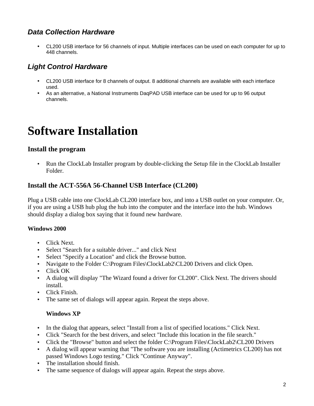## *Data Collection Hardware*

• CL200 USB interface for 56 channels of input. Multiple interfaces can be used on each computer for up to 448 channels.

## *Light Control Hardware*

- CL200 USB interface for 8 channels of output. 8 additional channels are available with each interface used.
- As an alternative, a National Instruments DaqPAD USB interface can be used for up to 96 output channels.

## **Software Installation**

### **Install the program**

• Run the ClockLab Installer program by double-clicking the Setup file in the ClockLab Installer Folder.

### **Install the ACT-556A 56-Channel USB Interface (CL200)**

Plug a USB cable into one ClockLab CL200 interface box, and into a USB outlet on your computer. Or, if you are using a USB hub plug the hub into the computer and the interface into the hub. Windows should display a dialog box saying that it found new hardware.

#### **Windows 2000**

- Click Next.
- Select "Search for a suitable driver..." and click Next
- Select "Specify a Location" and click the Browse button.
- Navigate to the Folder C:\Program Files\ClockLab2\CL200 Drivers and click Open.
- Click OK
- A dialog will display "The Wizard found a driver for CL200". Click Next. The drivers should install.
- Click Finish.
- The same set of dialogs will appear again. Repeat the steps above.

#### **Windows XP**

- In the dialog that appears, select "Install from a list of specified locations." Click Next.
- Click "Search for the best drivers, and select "Include this location in the file search."
- Click the "Browse" button and select the folder C:\Program Files\ClockLab2\CL200 Drivers
- A dialog will appear warning that "The software you are installing (Actimetrics CL200) has not passed Windows Logo testing." Click "Continue Anyway".
- The installation should finish.
- The same sequence of dialogs will appear again. Repeat the steps above.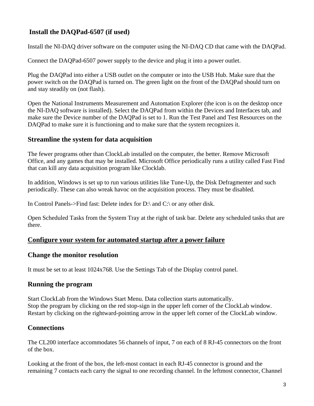## **Install the DAQPad-6507 (if used)**

Install the NI-DAQ driver software on the computer using the NI-DAQ CD that came with the DAQPad.

Connect the DAQPad-6507 power supply to the device and plug it into a power outlet.

Plug the DAQPad into either a USB outlet on the computer or into the USB Hub. Make sure that the power switch on the DAQPad is turned on. The green light on the front of the DAQPad should turn on and stay steadily on (not flash).

Open the National Instruments Measurement and Automation Explorer (the icon is on the desktop once the NI-DAQ software is installed). Select the DAQPad from within the Devices and Interfaces tab, and make sure the Device number of the DAQPad is set to 1. Run the Test Panel and Test Resources on the DAQPad to make sure it is functioning and to make sure that the system recognizes it.

#### **Streamline the system for data acquisition**

The fewer programs other than ClockLab installed on the computer, the better. Remove Microsoft Office, and any games that may be installed. Microsoft Office periodically runs a utility called Fast Find that can kill any data acquisition program like Clocklab.

In addition, Windows is set up to run various utilities like Tune-Up, the Disk Defragmenter and such periodically. These can also wreak havoc on the acquisition process. They must be disabled.

In Control Panels->Find fast: Delete index for D:\ and C:\ or any other disk.

Open Scheduled Tasks from the System Tray at the right of task bar. Delete any scheduled tasks that are there.

#### **Configure your system for automated startup after a power failure**

#### **Change the monitor resolution**

It must be set to at least 1024x768. Use the Settings Tab of the Display control panel.

#### **Running the program**

Start ClockLab from the Windows Start Menu. Data collection starts automatically. Stop the program by clicking on the red stop-sign in the upper left corner of the ClockLab window. Restart by clicking on the rightward-pointing arrow in the upper left corner of the ClockLab window.

#### **Connections**

The CL200 interface accommodates 56 channels of input, 7 on each of 8 RJ-45 connectors on the front of the box.

Looking at the front of the box, the left-most contact in each RJ-45 connector is ground and the remaining 7 contacts each carry the signal to one recording channel. In the leftmost connector, Channel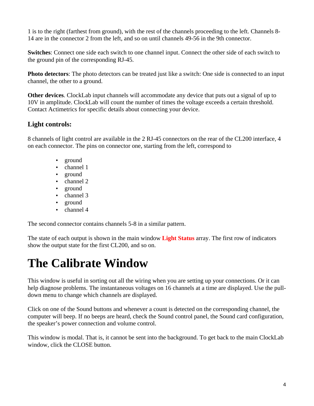1 is to the right (farthest from ground), with the rest of the channels proceeding to the left. Channels 8- 14 are in the connector 2 from the left, and so on until channels 49-56 in the 9th connector.

**Switches**: Connect one side each switch to one channel input. Connect the other side of each switch to the ground pin of the corresponding RJ-45.

**Photo detectors**: The photo detectors can be treated just like a switch: One side is connected to an input channel, the other to a ground.

**Other devices**. ClockLab input channels will accommodate any device that puts out a signal of up to 10V in amplitude. ClockLab will count the number of times the voltage exceeds a certain threshold. Contact Actimetrics for specific details about connecting your device.

### **Light controls:**

8 channels of light control are available in the 2 RJ-45 connectors on the rear of the CL200 interface, 4 on each connector. The pins on connector one, starting from the left, correspond to

- ground
- channel 1
- ground
- channel 2
- ground
- channel 3
- ground
- channel 4

The second connector contains channels 5-8 in a similar pattern.

The state of each output is shown in the main window **Light Status** array. The first row of indicators show the output state for the first CL200, and so on.

## **The Calibrate Window**

This window is useful in sorting out all the wiring when you are setting up your connections. Or it can help diagnose problems. The instantaneous voltages on 16 channels at a time are displayed. Use the pulldown menu to change which channels are displayed.

Click on one of the Sound buttons and whenever a count is detected on the corresponding channel, the computer will beep. If no beeps are heard, check the Sound control panel, the Sound card configuration, the speaker's power connection and volume control.

This window is modal. That is, it cannot be sent into the background. To get back to the main ClockLab window, click the CLOSE button.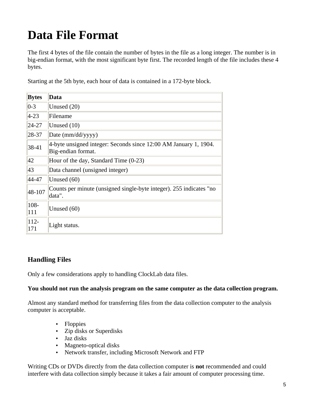## **Data File Format**

The first 4 bytes of the file contain the number of bytes in the file as a long integer. The number is in big-endian format, with the most significant byte first. The recorded length of the file includes these 4 bytes.

Starting at the 5th byte, each hour of data is contained in a 172-byte block.

| <b>Bytes</b>   | Data                                                                                   |
|----------------|----------------------------------------------------------------------------------------|
| $0-3$          | Unused $(20)$                                                                          |
| $4 - 23$       | Filename                                                                               |
| 24-27          | Unused $(10)$                                                                          |
| 28-37          | Date (mm/dd/yyyy)                                                                      |
| 38-41          | 4-byte unsigned integer: Seconds since 12:00 AM January 1, 1904.<br>Big-endian format. |
| 42             | Hour of the day, Standard Time (0-23)                                                  |
| 43             | Data channel (unsigned integer)                                                        |
| 44-47          | Unused (60)                                                                            |
| 48-107         | Counts per minute (unsigned single-byte integer). 255 indicates "no<br>data".          |
| $108 -$<br>111 | Unused $(60)$                                                                          |
| $112 -$<br>171 | Light status.                                                                          |

### **Handling Files**

Only a few considerations apply to handling ClockLab data files.

#### **You should not run the analysis program on the same computer as the data collection program.**

Almost any standard method for transferring files from the data collection computer to the analysis computer is acceptable.

- Floppies
- Zip disks or Superdisks
- Jaz disks
- Magneto-optical disks
- Network transfer, including Microsoft Network and FTP

Writing CDs or DVDs directly from the data collection computer is **not** recommended and could interfere with data collection simply because it takes a fair amount of computer processing time.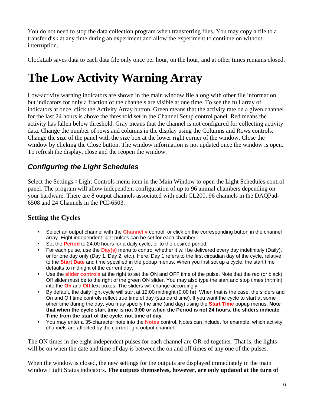You do not need to stop the data collection program when transferring files. You may copy a file to a transfer disk at any time during an experiment and allow the experiment to continue on without interruption.

ClockLab saves data to each data file only once per hour, on the hour, and at other times remains closed.

## **The Low Activity Warning Array**

Low-activity warning indicators are shown in the main window file along with other file information, but indicators for only a fraction of the channels are visible at one time. To see the full array of indicators at once, click the Activity Array button. Green means that the activity rate on a given channel for the last 24 hours is above the threshold set in the Channel Setup control panel. Red means the activity has fallen below threshold. Gray means that the channel is not configured for collecting activity data. Change the number of rows and columns in the display using the Columns and Rows controls. Change the size of the panel with the size box at the lower right corner of the window. Close the window by clicking the Close button. The window information is not updated once the window is open. To refresh the display, close and the reopen the window.

## *Configuring the Light Schedules*

Select the Settings->Light Controls menu item in the Main Window to open the Light Schedules control panel. The program will allow independent configuration of up to 96 animal chambers depending on your hardware. There are 8 output channels associated with each CL200, 96 channels in the DAQPad-6508 and 24 Channels in the PCI-6503.

## **Setting the Cycles**

- Select an output channel with the **Channel #** control, or click on the corresponding button in the channel array. Eight independent light pulses can be set for each chamber.
- Set the **Period** to 24.00 hours for a daily cycle, or to the desired period.
- For each pulse, use the **Day(s)** menu to control whether it will be delivered every day indefinitely (Daily), or for one day only (Day 1, Day 2, etc.). Here, Day 1 refers to the first circadian day of the cycle, relative to the **Start Date** and time specified in the popup menus. When you first set up a cycle, the start time defaults to midnight of the current day.
- Use the **slider controls** at the right to set the ON and OFF time of the pulse. Note that the red (or black) Off slider must be to the right of the green ON slider. You may also type the start and stop times (hr:min) into the **On** and **Off** text boxes. The sliders will change accordingly.
- By default, the daily light cycle will start at 12:00 midnight (0:00 hr). When that is the case, the sliders and On and Off time controls reflect true time of day (standard time). If you want the cycle to start at some other time during the day, you may specify the time (and day) using the **Start Time** popup menus. **Note that when the cycle start time is not 0:00 or when the Period is not 24 hours, the sliders indicate Time from the start of the cycle, not time of day.**
- You may enter a 35-character note into the **Notes** control. Notes can include, for example, which activity channels are affected by the current light output channel.

The ON times in the eight independent pulses for each channel are OR-ed together. That is, the lights will be on when the date and time of day is between the on and off times of any one of the pulses.

When the window is closed, the new settings for the outputs are displayed immediately in the main window Light Status indicators. **The outputs themselves, however, are only updated at the turn of**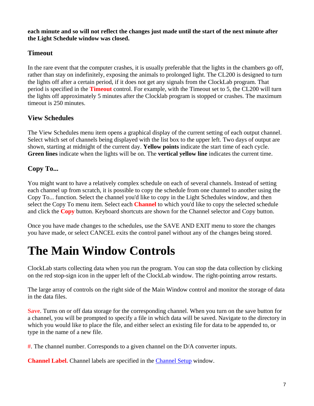**each minute and so will not reflect the changes just made until the start of the next minute after the Light Schedule window was closed.**

## **Timeout**

In the rare event that the computer crashes, it is usually preferable that the lights in the chambers go off, rather than stay on indefinitely, exposing the animals to prolonged light. The CL200 is designed to turn the lights off after a certain period, if it does not get any signals from the ClockLab program. That period is specified in the **Timeout** control. For example, with the Timeout set to 5, the CL200 will turn the lights off approximately 5 minutes after the Clocklab program is stopped or crashes. The maximum timeout is 250 minutes.

## **View Schedules**

The View Schedules menu item opens a graphical display of the current setting of each output channel. Select which set of channels being displayed with the list box to the upper left. Two days of output are shown, starting at midnight of the current day. **Yellow points** indicate the start time of each cycle. **Green lines** indicate when the lights will be on. The **vertical yellow line** indicates the current time.

## **Copy To...**

You might want to have a relatively complex schedule on each of several channels. Instead of setting each channel up from scratch, it is possible to copy the schedule from one channel to another using the Copy To... function. Select the channel you'd like to copy in the Light Schedules window, and then select the Copy To menu item. Select each **Channel** to which you'd like to copy the selected schedule and click the **Copy** button. Keyboard shortcuts are shown for the Channel selector and Copy button.

Once you have made changes to the schedules, use the SAVE AND EXIT menu to store the changes you have made, or select CANCEL exits the control panel without any of the changes being stored.

## **The Main Window Controls**

ClockLab starts collecting data when you run the program. You can stop the data collection by clicking on the red stop-sign icon in the upper left of the ClockLab window. The right-pointing arrow restarts.

The large array of controls on the right side of the Main Window control and monitor the storage of data in the data files.

**Save**. Turns on or off data storage for the corresponding channel. When you turn on the save button for a channel, you will be prompted to specify a file in which data will be saved. Navigate to the directory in which you would like to place the file, and either select an existing file for data to be appended to, or type in the name of a new file.

**#**. The channel number. Corresponds to a given channel on the D/A converter inputs.

**Channel Label.** Channel labels are specified in the Channel Setup window.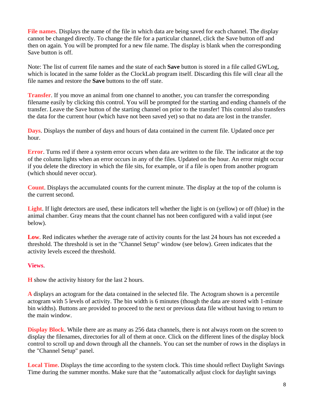**File names**. Displays the name of the file in which data are being saved for each channel. The display cannot be changed directly. To change the file for a particular channel, click the Save button off and then on again. You will be prompted for a new file name. The display is blank when the corresponding Save button is off.

Note: The list of current file names and the state of each **Save** button is stored in a file called GWLog, which is located in the same folder as the ClockLab program itself. Discarding this file will clear all the file names and restore the **Save** buttons to the off state.

**Transfer**. If you move an animal from one channel to another, you can transfer the corresponding filename easily by clicking this control. You will be prompted for the starting and ending channels of the transfer. Leave the Save button of the starting channel on prior to the transfer! This control also transfers the data for the current hour (which have not been saved yet) so that no data are lost in the transfer.

**Days**. Displays the number of days and hours of data contained in the current file. Updated once per hour.

**Error**. Turns red if there a system error occurs when data are written to the file. The indicator at the top of the column lights when an error occurs in any of the files. Updated on the hour. An error might occur if you delete the directory in which the file sits, for example, or if a file is open from another program (which should never occur).

**Count**. Displays the accumulated counts for the current minute. The display at the top of the column is the current second.

**Light**. If light detectors are used, these indicators tell whether the light is on (yellow) or off (blue) in the animal chamber. Gray means that the count channel has not been configured with a valid input (see below).

**Low.** Red indicates whether the average rate of activity counts for the last 24 hours has not exceeded a threshold. The threshold is set in the "Channel Setup" window (see below). Green indicates that the activity levels exceed the threshold.

#### **Views**.

**H** show the activity history for the last 2 hours.

**A** displays an actogram for the data contained in the selected file. The Actogram shown is a percentile actogram with 5 levels of activity. The bin width is 6 minutes (though the data are stored with 1-minute bin widths). Buttons are provided to proceed to the next or previous data file without having to return to the main window.

**Display Block**. While there are as many as 256 data channels, there is not always room on the screen to display the filenames, directories for all of them at once. Click on the different lines of the display block control to scroll up and down through all the channels. You can set the number of rows in the displays in the "Channel Setup" panel.

**Local Time.** Displays the time according to the system clock. This time should reflect Daylight Savings Time during the summer months. Make sure that the "automatically adjust clock for daylight savings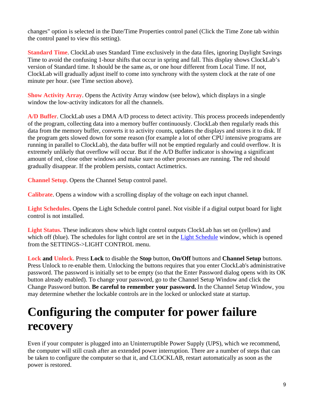changes" option is selected in the Date/Time Properties control panel (Click the Time Zone tab within the control panel to view this setting).

**Standard Time**. ClockLab uses Standard Time exclusively in the data files, ignoring Daylight Savings Time to avoid the confusing 1-hour shifts that occur in spring and fall. This display shows ClockLab's version of Standard time. It should be the same as, or one hour different from Local Time. If not, ClockLab will gradually adjust itself to come into synchrony with the system clock at the rate of one minute per hour. (see Time section above).

**Show Activity Array**. Opens the Activity Array window (see below), which displays in a single window the low-activity indicators for all the channels.

**A/D Buffer**. ClockLab uses a DMA A/D process to detect activity. This process proceeds independently of the program, collecting data into a memory buffer continuously. ClockLab then regularly reads this data from the memory buffer, converts it to activity counts, updates the displays and stores it to disk. If the program gets slowed down for some reason (for example a lot of other CPU intensive programs are running in parallel to ClockLab), the data buffer will not be emptied regularly and could overflow. It is extremely unlikely that overflow will occur. But if the A/D Buffer indicator is showing a significant amount of red, close other windows and make sure no other processes are running. The red should gradually disappear. If the problem persists, contact Actimetrics.

**Channel Setup**. Opens the Channel Setup control panel.

**Calibrate**. Opens a window with a scrolling display of the voltage on each input channel.

**Light Schedules**. Opens the Light Schedule control panel. Not visible if a digital output board for light control is not installed.

**Light Status.** These indicators show which light control outputs ClockLab has set on (yellow) and which off (blue). The schedules for light control are set in the Light Schedule window, which is opened from the SETTINGS->LIGHT CONTROL menu.

**Lock and Unlock.** Press **Lock** to disable the **Stop** button, **On/Off** buttons and **Channel Setup** buttons. Press Unlock to re-enable them. Unlocking the buttons requires that you enter ClockLab's administrative password. The password is initially set to be empty (so that the Enter Password dialog opens with its OK button already enabled). To change your password, go to the Channel Setup Window and click the Change Password button. **Be careful to remember your password.** In the Channel Setup Window, you may determine whether the lockable controls are in the locked or unlocked state at startup.

## **Configuring the computer for power failure recovery**

Even if your computer is plugged into an Uninterruptible Power Supply (UPS), which we recommend, the computer will still crash after an extended power interruption. There are a number of steps that can be taken to configure the computer so that it, and CLOCKLAB, restart automatically as soon as the power is restored.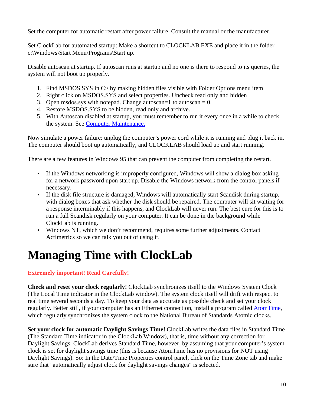Set the computer for automatic restart after power failure. Consult the manual or the manufacturer.

Set ClockLab for automated startup: Make a shortcut to CLOCKLAB.EXE and place it in the folder c:\Windows\Start Menu\Programs\Start up.

Disable autoscan at startup. If autoscan runs at startup and no one is there to respond to its queries, the system will not boot up properly.

- 1. Find MSDOS.SYS in C:\ by making hidden files visible with Folder Options menu item
- 2. Right click on MSDOS.SYS and select properties. Uncheck read only and hidden
- 3. Open msdos.sys with notepad. Change autoscan=1 to autoscan =  $0$ .
- 4. Restore MSDOS.SYS to be hidden, read only and archive.
- 5. With Autoscan disabled at startup, you must remember to run it every once in a while to check the system. See Computer Maintenance.

Now simulate a power failure: unplug the computer's power cord while it is running and plug it back in. The computer should boot up automatically, and CLOCKLAB should load up and start running.

There are a few features in Windows 95 that can prevent the computer from completing the restart.

- If the Windows networking is improperly configured, Windows will show a dialog box asking for a network password upon start up. Disable the Windows network from the control panels if necessary.
- If the disk file structure is damaged, Windows will automatically start Scandisk during startup, with dialog boxes that ask whether the disk should be repaired. The computer will sit waiting for a response interminably if this happens, and ClockLab will never run. The best cure for this is to run a full Scandisk regularly on your computer. It can be done in the background while ClockLab is running.
- Windows NT, which we don't recommend, requires some further adjustments. Contact Actimetrics so we can talk you out of using it.

## **Managing Time with ClockLab**

### **Extremely important! Read Carefully!**

**Check and reset your clock regularly!** ClockLab synchronizes itself to the Windows System Clock (The Local Time indicator in the ClockLab window). The system clock itself will drift with respect to real time several seconds a day. To keep your data as accurate as possible check and set your clock regularly. Better still, if your computer has an Ethernet connection, install a program called AtomTime, which regularly synchronizes the system clock to the National Bureau of Standards Atomic clocks.

**Set your clock for automatic Daylight Savings Time!** ClockLab writes the data files in Standard Time (The Standard Time indicator in the ClockLab Window), that is, time without any correction for Daylight Savings. ClockLab derives Standard Time, however, by assuming that your computer's system clock is set for daylight savings time (this is because AtomTime has no provisions for NOT using Daylight Savings). So: In the Date/Time Properties control panel, click on the Time Zone tab and make sure that "automatically adjust clock for daylight savings changes" is selected.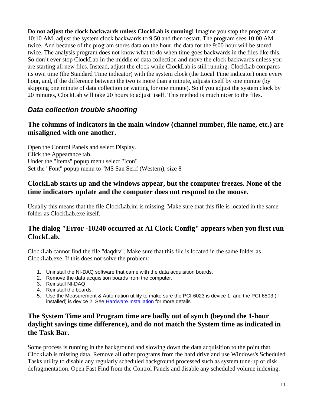**Do not adjust the clock backwards unless ClockLab is running!** Imagine you stop the program at 10:10 AM, adjust the system clock backwards to 9:50 and then restart. The program sees 10:00 AM twice. And because of the program stores data on the hour, the data for the 9:00 hour will be stored twice. The analysis program does not know what to do when time goes backwards in the files like this. So don't ever stop ClockLab in the middle of data collection and move the clock backwards unless you are starting all new files. Instead, adjust the clock while ClockLab is still running. ClockLab compares its own time (the Standard Time indicator) with the system clock (the Local Time indicator) once every hour, and, if the difference between the two is more than a minute, adjusts itself by one minute (by skipping one minute of data collection or waiting for one minute). So if you adjust the system clock by 20 minutes, ClockLab will take 20 hours to adjust itself. This method is much nicer to the files.

## *Data collection trouble shooting*

### **The columns of indicators in the main window (channel number, file name, etc.) are misaligned with one another.**

Open the Control Panels and select Display. Click the Appearance tab. Under the "Items" popup menu select "Icon" Set the "Font" popup menu to "MS San Serif (Western), size 8

### **ClockLab starts up and the windows appear, but the computer freezes. None of the time indicators update and the computer does not respond to the mouse.**

Usually this means that the file ClockLab.ini is missing. Make sure that this file is located in the same folder as ClockLab.exe itself.

### **The dialog "Error -10240 occurred at AI Clock Config" appears when you first run ClockLab.**

ClockLab cannot find the file "daqdrv". Make sure that this file is located in the same folder as ClockLab.exe. If this does not solve the problem:

- 1. Uninstall the NI-DAQ software that came with the data acquisition boards.
- 2. Remove the data acquisition boards from the computer.
- 3. Reinstall NI-DAQ
- 4. Reinstall the boards.
- 5. Use the Measurement & Automation utility to make sure the PCI-6023 is device 1, and the PCI-6503 (if installed) is device 2. See Hardware Installation for more details.

## **The System Time and Program time are badly out of synch (beyond the 1-hour daylight savings time difference), and do not match the System time as indicated in the Task Bar.**

Some process is running in the background and slowing down the data acquisition to the point that ClockLab is missing data. Remove all other programs from the hard drive and use Windows's Scheduled Tasks utility to disable any regularly scheduled background processed such as system tune-up or disk defragmentation. Open Fast Find from the Control Panels and disable any scheduled volume indexing.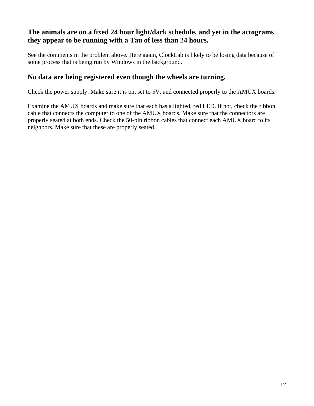## **The animals are on a fixed 24 hour light/dark schedule, and yet in the actograms they appear to be running with a Tau of less than 24 hours.**

See the comments in the problem above. Here again, ClockLab is likely to be losing data because of some process that is being run by Windows in the background.

## **No data are being registered even though the wheels are turning.**

Check the power supply. Make sure it is on, set to 5V, and connected properly to the AMUX boards.

Examine the AMUX boards and make sure that each has a lighted, red LED. If not, check the ribbon cable that connects the computer to one of the AMUX boards. Make sure that the connectors are properly seated at both ends. Check the 50-pin ribbon cables that connect each AMUX board to its neighbors. Make sure that these are properly seated.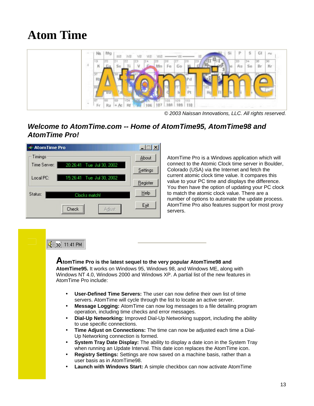## **Atom Time**



*© 2003 Naissan Innovations, LLC. All rights reserved.*

## *Welcome to AtomTime.com -- Home of AtomTime95, AtomTime98 and AtomTime Pro!*



AtomTime Pro is a Windows application which will connect to the Atomic Clock time server in Boulder, Colorado (USA) via the Internet and fetch the current atomic clock time value. It compares this value to your PC time and displays the difference. You then have the option of updating your PC clock to match the atomic clock value. There are a number of options to automate the update process. AtomTime Pro also features support for most proxy servers.

#### **SE** 30 11:41 PM

**AtomTime Pro is the latest sequel to the very popular AtomTime98 and AtomTime95.** It works on Windows 95, Windows 98, and Windows ME, along with

Windows NT 4.0, Windows 2000 and Windows XP. A partial list of the new features in AtomTime Pro include:

- **User-Defined Time Servers:** The user can now define their own list of time servers. AtomTime will cycle through the list to locate an active server.
- **Message Logging:** AtomTime can now log messages to a file detailing program operation, including time checks and error messages.
- **Dial-Up Networking:** Improved Dial-Up Networking support, including the ability to use specific connections.
- **Time Adjust on Connections:** The time can now be adjusted each time a Dial-Up Networking connection is formed.
- **System Tray Date Display:** The ability to display a date icon in the System Tray when running an Update Interval. This date icon replaces the AtomTime icon.
- **Registry Settings:** Settings are now saved on a machine basis, rather than a user basis as in AtomTime98.
- **Launch with Windows Start:** A simple checkbox can now activate AtomTime